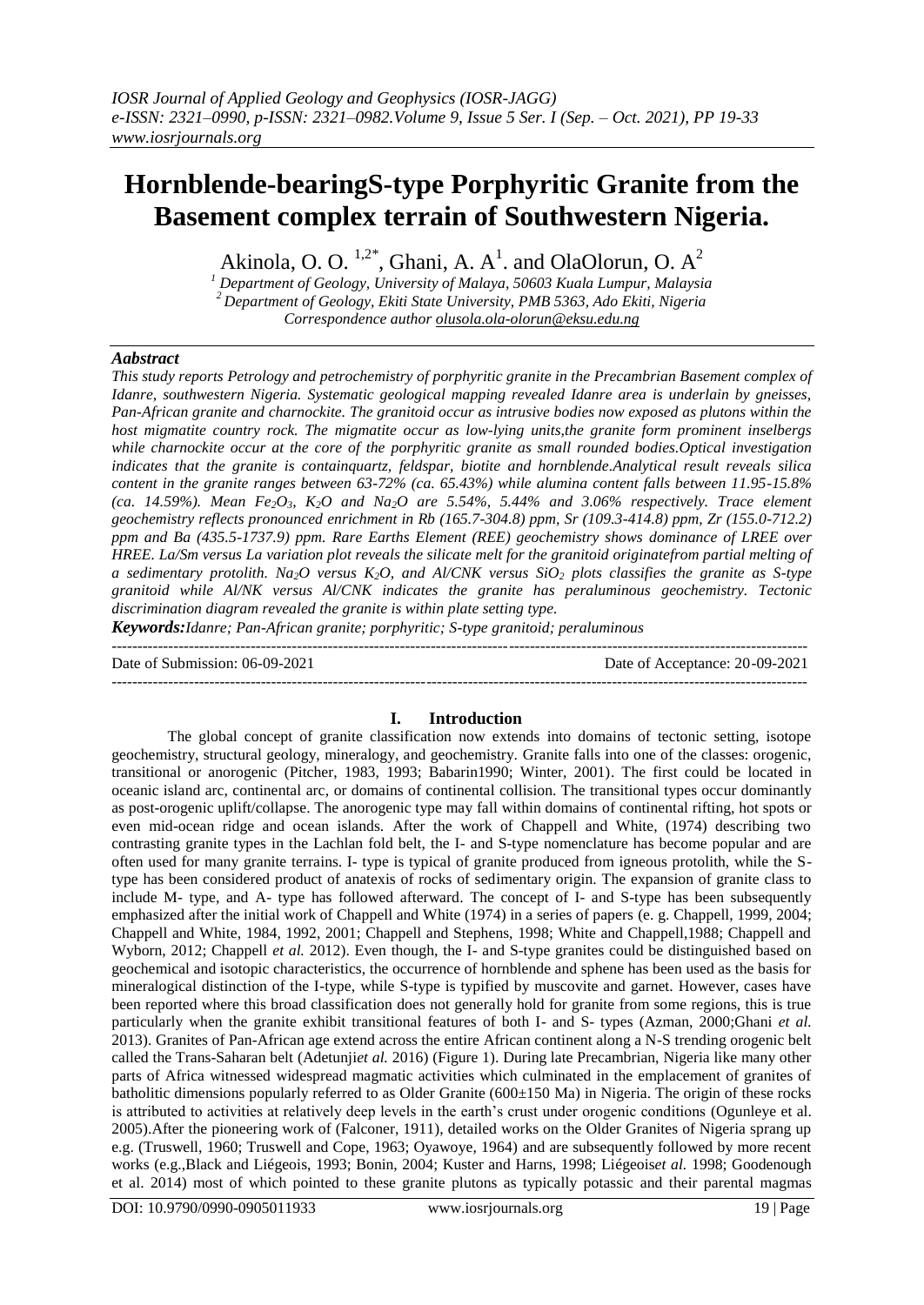# **Hornblende-bearingS-type Porphyritic Granite from the Basement complex terrain of Southwestern Nigeria.**

Akinola, O. O.  $^{1,2^*}$ , Ghani, A. A<sup>1</sup>. and OlaOlorun, O. A<sup>2</sup>

*<sup>1</sup> Department of Geology, University of Malaya, 50603 Kuala Lumpur, Malaysia <sup>2</sup>Department of Geology, Ekiti State University, PMB 5363, Ado Ekiti, Nigeria Correspondence author [olusola.ola-olorun@eksu.edu.ng](mailto:olusola.ola-olorun@eksu.edu.ng)*

## *Aabstract*

*This study reports Petrology and petrochemistry of porphyritic granite in the Precambrian Basement complex of Idanre, southwestern Nigeria. Systematic geological mapping revealed Idanre area is underlain by gneisses, Pan-African granite and charnockite. The granitoid occur as intrusive bodies now exposed as plutons within the host migmatite country rock. The migmatite occur as low-lying units,the granite form prominent inselbergs while charnockite occur at the core of the porphyritic granite as small rounded bodies.Optical investigation indicates that the granite is containquartz, feldspar, biotite and hornblende.Analytical result reveals silica content in the granite ranges between 63-72% (ca. 65.43%) while alumina content falls between 11.95-15.8%*  (ca. 14.59%). Mean  $Fe<sub>2</sub>O<sub>3</sub>$ , K<sub>2</sub><sup>O</sup> and Na<sub>2</sub><sup>O</sup> are 5.54%, 5.44% and 3.06% respectively. Trace element *geochemistry reflects pronounced enrichment in Rb (165.7-304.8) ppm, Sr (109.3-414.8) ppm, Zr (155.0-712.2) ppm and Ba (435.5-1737.9) ppm. Rare Earths Element (REE) geochemistry shows dominance of LREE over HREE. La/Sm versus La variation plot reveals the silicate melt for the granitoid originatefrom partial melting of a sedimentary protolith.* Na<sub>2</sub>*O versus K*<sub>2</sub>*O, and Al/CNK versus SiO*<sub>2</sub> *plots classifies the granite as S-type granitoid while Al/NK versus Al/CNK indicates the granite has peraluminous geochemistry. Tectonic discrimination diagram revealed the granite is within plate setting type.*

*Keywords:Idanre; Pan-African granite; porphyritic; S-type granitoid; peraluminous*

Date of Submission: 06-09-2021 Date of Acceptance: 20-09-2021

---------------------------------------------------------------------------------------------------------------------------------------

#### **I. Introduction**

---------------------------------------------------------------------------------------------------------------------------------------

The global concept of granite classification now extends into domains of tectonic setting, isotope geochemistry, structural geology, mineralogy, and geochemistry. Granite falls into one of the classes: orogenic, transitional or anorogenic (Pitcher, 1983, 1993; Babarin1990; Winter, 2001). The first could be located in oceanic island arc, continental arc, or domains of continental collision. The transitional types occur dominantly as post-orogenic uplift/collapse. The anorogenic type may fall within domains of continental rifting, hot spots or even mid-ocean ridge and ocean islands. After the work of Chappell and White, (1974) describing two contrasting granite types in the Lachlan fold belt, the I- and S-type nomenclature has become popular and are often used for many granite terrains. I- type is typical of granite produced from igneous protolith, while the Stype has been considered product of anatexis of rocks of sedimentary origin. The expansion of granite class to include M- type, and A- type has followed afterward. The concept of I- and S-type has been subsequently emphasized after the initial work of Chappell and White (1974) in a series of papers (e. g. Chappell, 1999, 2004; Chappell and White, 1984, 1992, 2001; Chappell and Stephens, 1998; White and Chappell,1988; Chappell and Wyborn, 2012; Chappell *et al.* 2012). Even though, the I- and S-type granites could be distinguished based on geochemical and isotopic characteristics, the occurrence of hornblende and sphene has been used as the basis for mineralogical distinction of the I-type, while S-type is typified by muscovite and garnet. However, cases have been reported where this broad classification does not generally hold for granite from some regions, this is true particularly when the granite exhibit transitional features of both I- and S- types (Azman, 2000;Ghani *et al.* 2013). Granites of Pan-African age extend across the entire African continent along a N-S trending orogenic belt called the Trans-Saharan belt (Adetunji*et al.* 2016) (Figure 1). During late Precambrian, Nigeria like many other parts of Africa witnessed widespread magmatic activities which culminated in the emplacement of granites of batholitic dimensions popularly referred to as Older Granite (600±150 Ma) in Nigeria. The origin of these rocks is attributed to activities at relatively deep levels in the earth"s crust under orogenic conditions (Ogunleye et al. 2005).After the pioneering work of (Falconer, 1911), detailed works on the Older Granites of Nigeria sprang up e.g. (Truswell, 1960; Truswell and Cope, 1963; Oyawoye, 1964) and are subsequently followed by more recent works (e.g.,Black and Liégeois, 1993; Bonin, 2004; Kuster and Harns, 1998; Liégeois*et al.* 1998; Goodenough et al. 2014) most of which pointed to these granite plutons as typically potassic and their parental magmas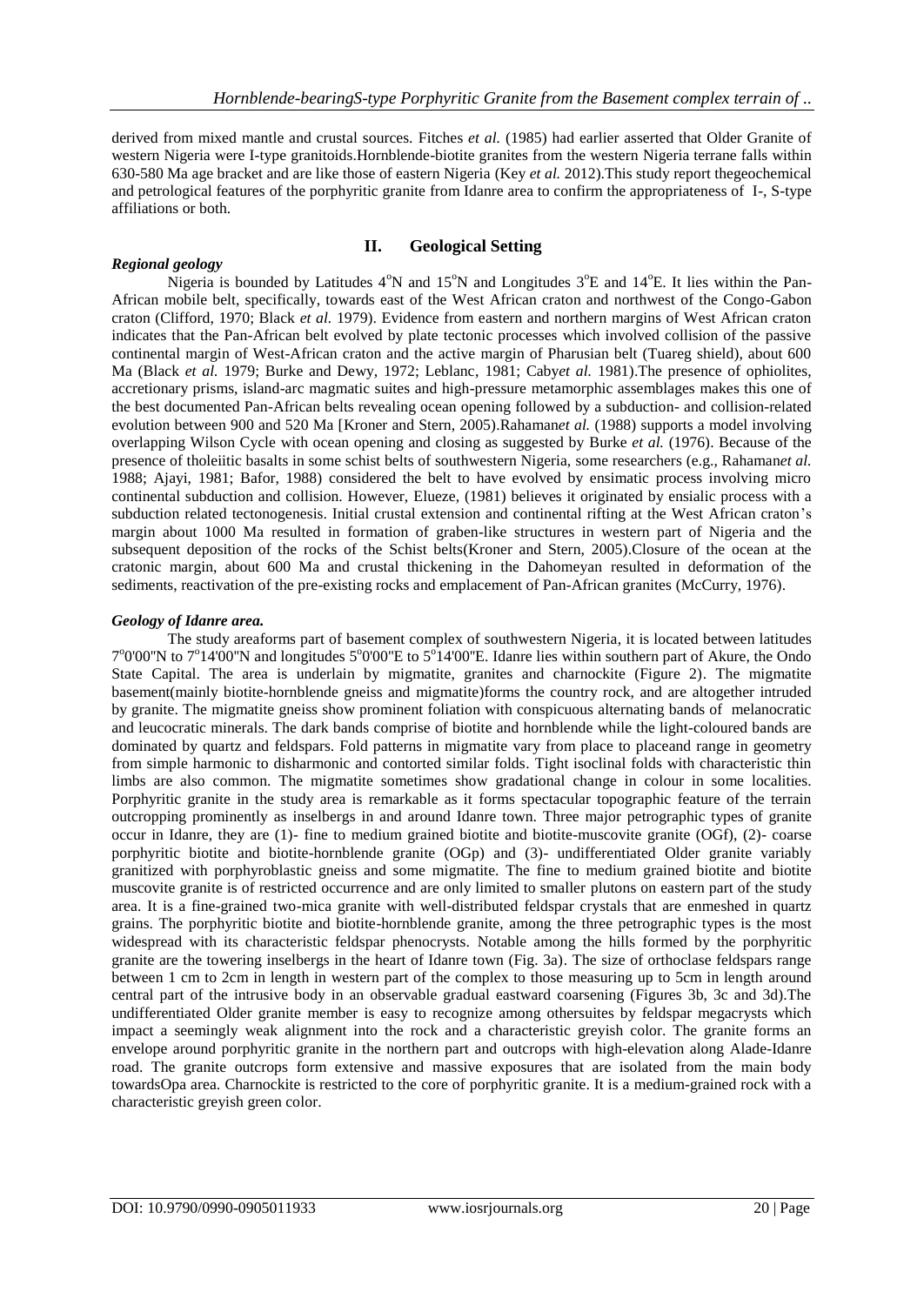derived from mixed mantle and crustal sources. Fitches *et al.* (1985) had earlier asserted that Older Granite of western Nigeria were I-type granitoids.Hornblende-biotite granites from the western Nigeria terrane falls within 630-580 Ma age bracket and are like those of eastern Nigeria (Key *et al.* 2012).This study report thegeochemical and petrological features of the porphyritic granite from Idanre area to confirm the appropriateness of I-, S-type affiliations or both.

# **II. Geological Setting**

## *Regional geology*

Nigeria is bounded by Latitudes  $4^{\circ}N$  and  $15^{\circ}N$  and Longitudes  $3^{\circ}E$  and  $14^{\circ}E$ . It lies within the Pan-African mobile belt, specifically, towards east of the West African craton and northwest of the Congo-Gabon craton (Clifford, 1970; Black *et al.* 1979). Evidence from eastern and northern margins of West African craton indicates that the Pan-African belt evolved by plate tectonic processes which involved collision of the passive continental margin of West-African craton and the active margin of Pharusian belt (Tuareg shield), about 600 Ma (Black *et al.* 1979; Burke and Dewy, 1972; Leblanc, 1981; Caby*et al.* 1981).The presence of ophiolites, accretionary prisms, island-arc magmatic suites and high-pressure metamorphic assemblages makes this one of the best documented Pan-African belts revealing ocean opening followed by a subduction- and collision-related evolution between 900 and 520 Ma [Kroner and Stern, 2005).Rahaman*et al.* (1988) supports a model involving overlapping Wilson Cycle with ocean opening and closing as suggested by Burke *et al.* (1976). Because of the presence of tholeiitic basalts in some schist belts of southwestern Nigeria, some researchers (e.g., Rahaman*et al.* 1988; Ajayi, 1981; Bafor, 1988) considered the belt to have evolved by ensimatic process involving micro continental subduction and collision. However, Elueze, (1981) believes it originated by ensialic process with a subduction related tectonogenesis. Initial crustal extension and continental rifting at the West African craton's margin about 1000 Ma resulted in formation of graben-like structures in western part of Nigeria and the subsequent deposition of the rocks of the Schist belts(Kroner and Stern, 2005).Closure of the ocean at the cratonic margin, about 600 Ma and crustal thickening in the Dahomeyan resulted in deformation of the sediments, reactivation of the pre-existing rocks and emplacement of Pan-African granites (McCurry, 1976).

## *Geology of Idanre area.*

The study areaforms part of basement complex of southwestern Nigeria, it is located between latitudes 7°0'00"N to 7°14'00"N and longitudes 5°0'00"E to 5°14'00"E. Idanre lies within southern part of Akure, the Ondo State Capital. The area is underlain by migmatite, granites and charnockite (Figure 2). The migmatite basement(mainly biotite-hornblende gneiss and migmatite)forms the country rock, and are altogether intruded by granite. The migmatite gneiss show prominent foliation with conspicuous alternating bands of melanocratic and leucocratic minerals. The dark bands comprise of biotite and hornblende while the light-coloured bands are dominated by quartz and feldspars. Fold patterns in migmatite vary from place to placeand range in geometry from simple harmonic to disharmonic and contorted similar folds. Tight isoclinal folds with characteristic thin limbs are also common. The migmatite sometimes show gradational change in colour in some localities. Porphyritic granite in the study area is remarkable as it forms spectacular topographic feature of the terrain outcropping prominently as inselbergs in and around Idanre town. Three major petrographic types of granite occur in Idanre, they are (1)- fine to medium grained biotite and biotite-muscovite granite (OGf), (2)- coarse porphyritic biotite and biotite-hornblende granite (OGp) and (3)- undifferentiated Older granite variably granitized with porphyroblastic gneiss and some migmatite. The fine to medium grained biotite and biotite muscovite granite is of restricted occurrence and are only limited to smaller plutons on eastern part of the study area. It is a fine-grained two-mica granite with well-distributed feldspar crystals that are enmeshed in quartz grains. The porphyritic biotite and biotite-hornblende granite, among the three petrographic types is the most widespread with its characteristic feldspar phenocrysts. Notable among the hills formed by the porphyritic granite are the towering inselbergs in the heart of Idanre town (Fig. 3a). The size of orthoclase feldspars range between 1 cm to 2cm in length in western part of the complex to those measuring up to 5cm in length around central part of the intrusive body in an observable gradual eastward coarsening (Figures 3b, 3c and 3d).The undifferentiated Older granite member is easy to recognize among othersuites by feldspar megacrysts which impact a seemingly weak alignment into the rock and a characteristic greyish color. The granite forms an envelope around porphyritic granite in the northern part and outcrops with high-elevation along Alade-Idanre road. The granite outcrops form extensive and massive exposures that are isolated from the main body towardsOpa area. Charnockite is restricted to the core of porphyritic granite. It is a medium-grained rock with a characteristic greyish green color.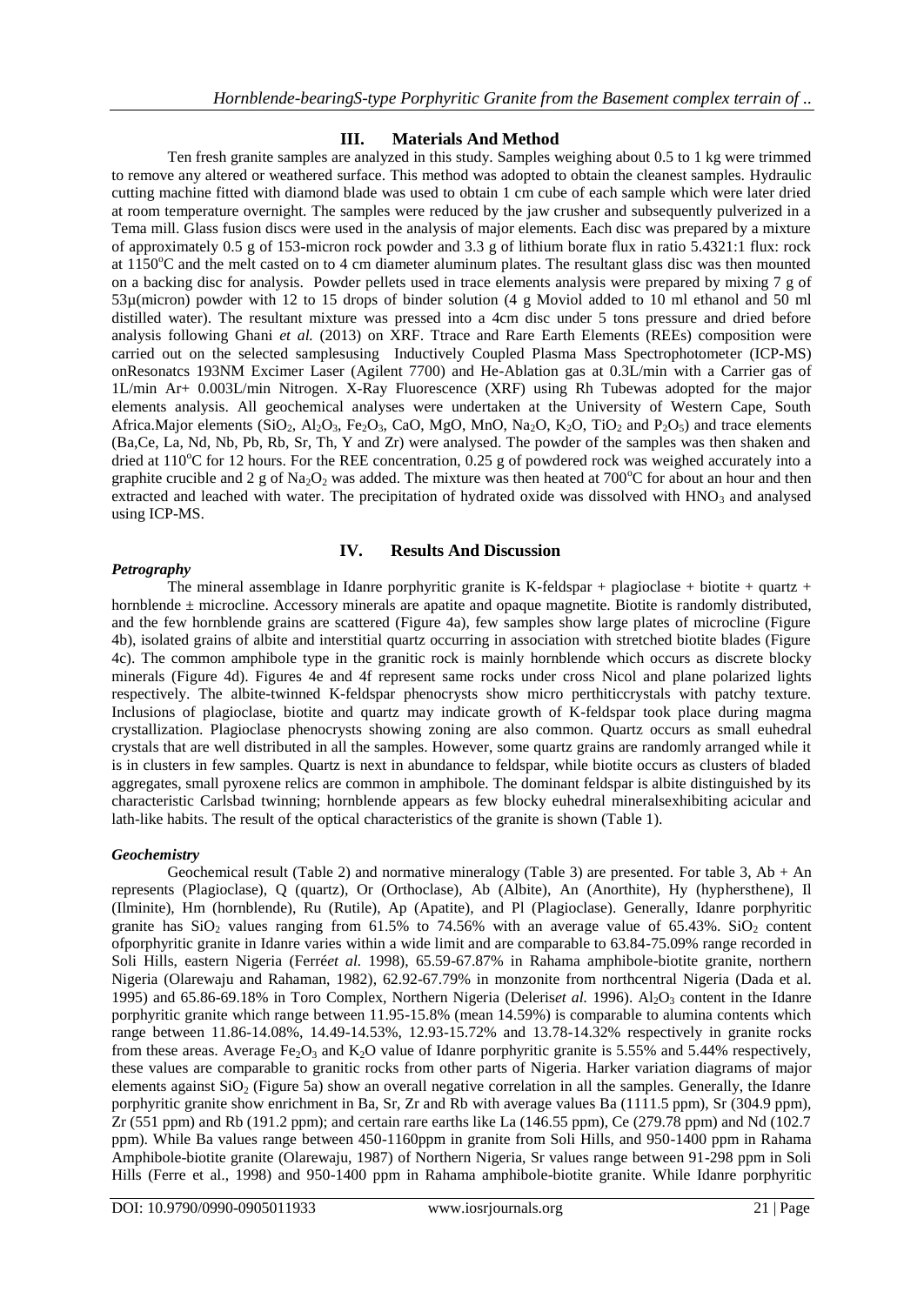# **III. Materials And Method**

Ten fresh granite samples are analyzed in this study. Samples weighing about 0.5 to 1 kg were trimmed to remove any altered or weathered surface. This method was adopted to obtain the cleanest samples. Hydraulic cutting machine fitted with diamond blade was used to obtain 1 cm cube of each sample which were later dried at room temperature overnight. The samples were reduced by the jaw crusher and subsequently pulverized in a Tema mill. Glass fusion discs were used in the analysis of major elements. Each disc was prepared by a mixture of approximately 0.5 g of 153-micron rock powder and 3.3 g of lithium borate flux in ratio 5.4321:1 flux: rock at 1150<sup>o</sup>C and the melt casted on to 4 cm diameter aluminum plates. The resultant glass disc was then mounted on a backing disc for analysis. Powder pellets used in trace elements analysis were prepared by mixing 7 g of 53µ(micron) powder with 12 to 15 drops of binder solution (4 g Moviol added to 10 ml ethanol and 50 ml distilled water). The resultant mixture was pressed into a 4cm disc under 5 tons pressure and dried before analysis following Ghani *et al.* (2013) on XRF. Ttrace and Rare Earth Elements (REEs) composition were carried out on the selected samplesusing Inductively Coupled Plasma Mass Spectrophotometer (ICP-MS) onResonatcs 193NM Excimer Laser (Agilent 7700) and He-Ablation gas at 0.3L/min with a Carrier gas of 1L/min Ar+ 0.003L/min Nitrogen. X-Ray Fluorescence (XRF) using Rh Tubewas adopted for the major elements analysis. All geochemical analyses were undertaken at the University of Western Cape, South Africa. Major elements (SiO<sub>2</sub>, Al<sub>2</sub>O<sub>3</sub>, Fe<sub>2</sub>O<sub>3</sub>, CaO, MgO, MnO, Na<sub>2</sub>O, K<sub>2</sub>O, TiO<sub>2</sub> and P<sub>2</sub>O<sub>5</sub>) and trace elements (Ba,Ce, La, Nd, Nb, Pb, Rb, Sr, Th, Y and Zr) were analysed. The powder of the samples was then shaken and dried at  $110^{\circ}$ C for 12 hours. For the REE concentration, 0.25 g of powdered rock was weighed accurately into a graphite crucible and 2 g of Na<sub>2</sub>O<sub>2</sub> was added. The mixture was then heated at 700<sup>o</sup>C for about an hour and then extracted and leached with water. The precipitation of hydrated oxide was dissolved with  $HNO<sub>3</sub>$  and analysed using ICP-MS.

## **IV. Results And Discussion**

#### *Petrography*

The mineral assemblage in Idanre porphyritic granite is K-feldspar + plagioclase + biotite + quartz + hornblende  $\pm$  microcline. Accessory minerals are apatite and opaque magnetite. Biotite is randomly distributed, and the few hornblende grains are scattered (Figure 4a), few samples show large plates of microcline (Figure 4b), isolated grains of albite and interstitial quartz occurring in association with stretched biotite blades (Figure 4c). The common amphibole type in the granitic rock is mainly hornblende which occurs as discrete blocky minerals (Figure 4d). Figures 4e and 4f represent same rocks under cross Nicol and plane polarized lights respectively. The albite-twinned K-feldspar phenocrysts show micro perthiticcrystals with patchy texture. Inclusions of plagioclase, biotite and quartz may indicate growth of K-feldspar took place during magma crystallization. Plagioclase phenocrysts showing zoning are also common. Quartz occurs as small euhedral crystals that are well distributed in all the samples. However, some quartz grains are randomly arranged while it is in clusters in few samples. Quartz is next in abundance to feldspar, while biotite occurs as clusters of bladed aggregates, small pyroxene relics are common in amphibole. The dominant feldspar is albite distinguished by its characteristic Carlsbad twinning; hornblende appears as few blocky euhedral mineralsexhibiting acicular and lath-like habits. The result of the optical characteristics of the granite is shown (Table 1).

#### *Geochemistry*

Geochemical result (Table 2) and normative mineralogy (Table 3) are presented. For table 3,  $Ab + An$ represents (Plagioclase), Q (quartz), Or (Orthoclase), Ab (Albite), An (Anorthite), Hy (hyphersthene), Il (Ilminite), Hm (hornblende), Ru (Rutile), Ap (Apatite), and Pl (Plagioclase). Generally, Idanre porphyritic granite has  $SiO<sub>2</sub>$  values ranging from 61.5% to 74.56% with an average value of 65.43%. SiO<sub>2</sub> content ofporphyritic granite in Idanre varies within a wide limit and are comparable to 63.84-75.09% range recorded in Soli Hills, eastern Nigeria (Ferré*et al.* 1998), 65.59-67.87% in Rahama amphibole-biotite granite, northern Nigeria (Olarewaju and Rahaman, 1982), 62.92-67.79% in monzonite from northcentral Nigeria (Dada et al. 1995) and 65.86-69.18% in Toro Complex, Northern Nigeria (Deleriset al. 1996). Al<sub>2</sub>O<sub>3</sub> content in the Idanre porphyritic granite which range between 11.95-15.8% (mean 14.59%) is comparable to alumina contents which range between 11.86-14.08%, 14.49-14.53%, 12.93-15.72% and 13.78-14.32% respectively in granite rocks from these areas. Average Fe<sub>2</sub>O<sub>3</sub> and K<sub>2</sub>O value of Idanre porphyritic granite is 5.55% and 5.44% respectively, these values are comparable to granitic rocks from other parts of Nigeria. Harker variation diagrams of major elements against  $SiO<sub>2</sub>$  (Figure 5a) show an overall negative correlation in all the samples. Generally, the Idanre porphyritic granite show enrichment in Ba, Sr, Zr and Rb with average values Ba (1111.5 ppm), Sr (304.9 ppm), Zr (551 ppm) and Rb (191.2 ppm); and certain rare earths like La (146.55 ppm), Ce (279.78 ppm) and Nd (102.7 ppm). While Ba values range between 450-1160ppm in granite from Soli Hills, and 950-1400 ppm in Rahama Amphibole-biotite granite (Olarewaju, 1987) of Northern Nigeria, Sr values range between 91-298 ppm in Soli Hills (Ferre et al., 1998) and 950-1400 ppm in Rahama amphibole-biotite granite. While Idanre porphyritic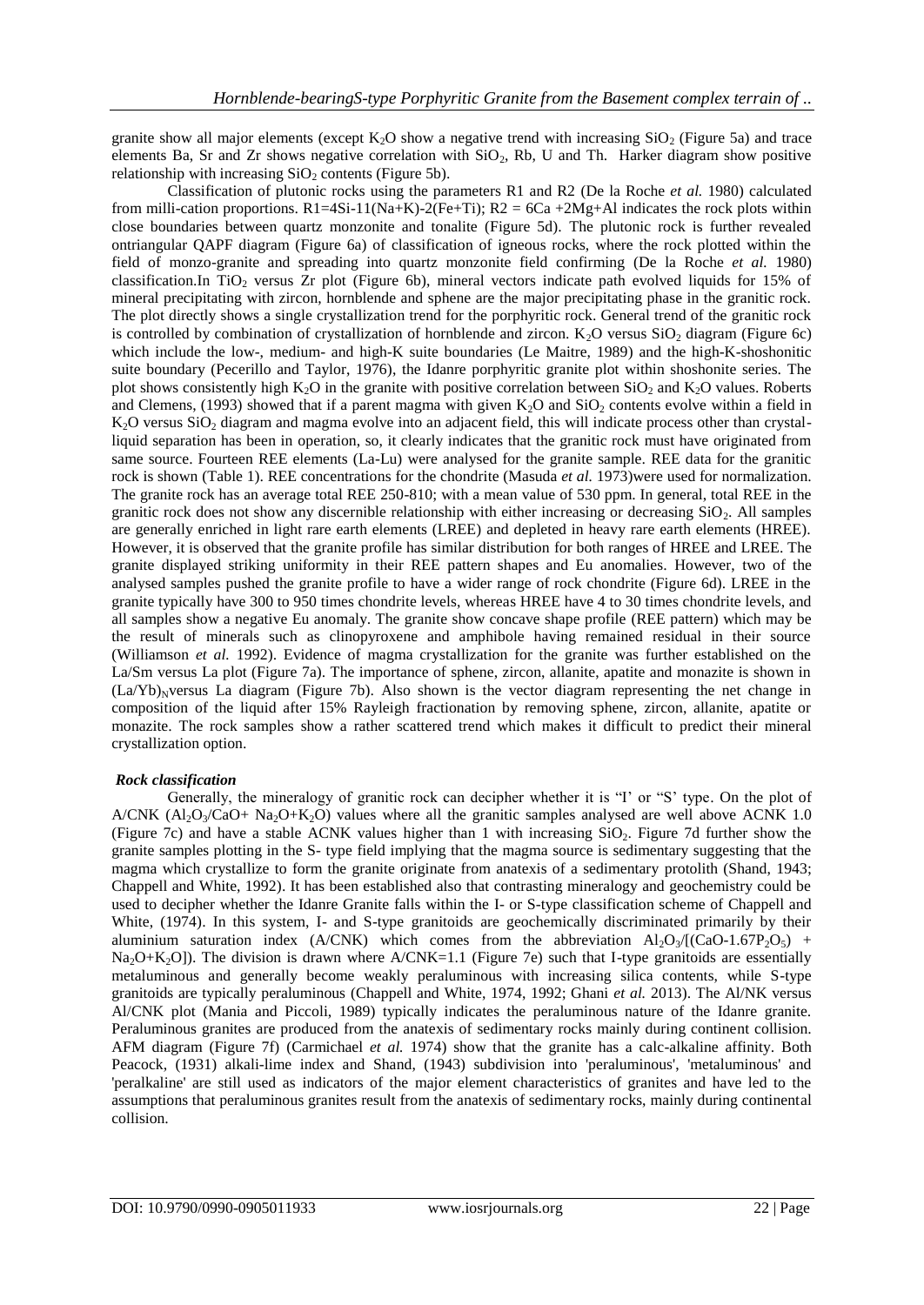granite show all major elements (except  $K_2O$  show a negative trend with increasing  $SiO<sub>2</sub>$  (Figure 5a) and trace elements Ba, Sr and Zr shows negative correlation with  $SiO<sub>2</sub>$ , Rb, U and Th. Harker diagram show positive relationship with increasing  $SiO<sub>2</sub>$  contents (Figure 5b).

Classification of plutonic rocks using the parameters R1 and R2 (De la Roche *et al.* 1980) calculated from milli-cation proportions.  $R1=4Si-11(Na+K)-2(Fe+Ti)$ ;  $R2 = 6Ca +2Mg+A1$  indicates the rock plots within close boundaries between quartz monzonite and tonalite (Figure 5d). The plutonic rock is further revealed ontriangular QAPF diagram (Figure 6a) of classification of igneous rocks, where the rock plotted within the field of monzo-granite and spreading into quartz monzonite field confirming (De la Roche *et al.* 1980) classification.In TiO<sub>2</sub> versus Zr plot (Figure 6b), mineral vectors indicate path evolved liquids for 15% of mineral precipitating with zircon, hornblende and sphene are the major precipitating phase in the granitic rock. The plot directly shows a single crystallization trend for the porphyritic rock. General trend of the granitic rock is controlled by combination of crystallization of hornblende and zircon. K<sub>2</sub>O versus SiO<sub>2</sub> diagram (Figure 6c) which include the low-, medium- and high-K suite boundaries (Le Maitre, 1989) and the high-K-shoshonitic suite boundary (Pecerillo and Taylor, 1976), the Idanre porphyritic granite plot within shoshonite series. The plot shows consistently high  $K<sub>2</sub>O$  in the granite with positive correlation between  $SiO<sub>2</sub>$  and  $K<sub>2</sub>O$  values. Roberts and Clemens, (1993) showed that if a parent magma with given  $K<sub>2</sub>O$  and  $SiO<sub>2</sub>$  contents evolve within a field in K<sub>2</sub>O versus SiO<sub>2</sub> diagram and magma evolve into an adjacent field, this will indicate process other than crystalliquid separation has been in operation, so, it clearly indicates that the granitic rock must have originated from same source. Fourteen REE elements (La-Lu) were analysed for the granite sample. REE data for the granitic rock is shown (Table 1). REE concentrations for the chondrite (Masuda *et al.* 1973)were used for normalization. The granite rock has an average total REE 250-810; with a mean value of 530 ppm. In general, total REE in the granitic rock does not show any discernible relationship with either increasing or decreasing  $SiO<sub>2</sub>$ . All samples are generally enriched in light rare earth elements (LREE) and depleted in heavy rare earth elements (HREE). However, it is observed that the granite profile has similar distribution for both ranges of HREE and LREE. The granite displayed striking uniformity in their REE pattern shapes and Eu anomalies. However, two of the analysed samples pushed the granite profile to have a wider range of rock chondrite (Figure 6d). LREE in the granite typically have 300 to 950 times chondrite levels, whereas HREE have 4 to 30 times chondrite levels, and all samples show a negative Eu anomaly. The granite show concave shape profile (REE pattern) which may be the result of minerals such as clinopyroxene and amphibole having remained residual in their source (Williamson *et al.* 1992). Evidence of magma crystallization for the granite was further established on the La/Sm versus La plot (Figure 7a). The importance of sphene, zircon, allanite, apatite and monazite is shown in  $(LaYb)$ <sub>N</sub>versus La diagram (Figure 7b). Also shown is the vector diagram representing the net change in composition of the liquid after 15% Rayleigh fractionation by removing sphene, zircon, allanite, apatite or monazite. The rock samples show a rather scattered trend which makes it difficult to predict their mineral crystallization option.

#### *Rock classification*

Generally, the mineralogy of granitic rock can decipher whether it is "I" or "S" type. On the plot of A/CNK ( $\text{Al}_2\text{O}_3/\text{CaO}$ + Na<sub>2</sub>O+K<sub>2</sub>O) values where all the granitic samples analysed are well above ACNK 1.0 (Figure 7c) and have a stable ACNK values higher than 1 with increasing SiO2. Figure 7d further show the granite samples plotting in the S- type field implying that the magma source is sedimentary suggesting that the magma which crystallize to form the granite originate from anatexis of a sedimentary protolith (Shand, 1943; Chappell and White, 1992). It has been established also that contrasting mineralogy and geochemistry could be used to decipher whether the Idanre Granite falls within the I- or S-type classification scheme of Chappell and White, (1974). In this system, I- and S-type granitoids are geochemically discriminated primarily by their aluminium saturation index (A/CNK) which comes from the abbreviation  $A_2O_3/(CaO-1.67P_2O_5)$  + Na<sub>2</sub>O+K<sub>2</sub>O]). The division is drawn where A/CNK=1.1 (Figure 7e) such that I-type granitoids are essentially metaluminous and generally become weakly peraluminous with increasing silica contents, while S-type granitoids are typically peraluminous (Chappell and White, 1974, 1992; Ghani *et al.* 2013). The Al/NK versus Al/CNK plot (Mania and Piccoli, 1989) typically indicates the peraluminous nature of the Idanre granite. Peraluminous granites are produced from the anatexis of sedimentary rocks mainly during continent collision. AFM diagram (Figure 7f) (Carmichael *et al.* 1974) show that the granite has a calc-alkaline affinity. Both Peacock, (1931) alkali-lime index and Shand, (1943) subdivision into 'peraluminous', 'metaluminous' and 'peralkaline' are still used as indicators of the major element characteristics of granites and have led to the assumptions that peraluminous granites result from the anatexis of sedimentary rocks, mainly during continental collision.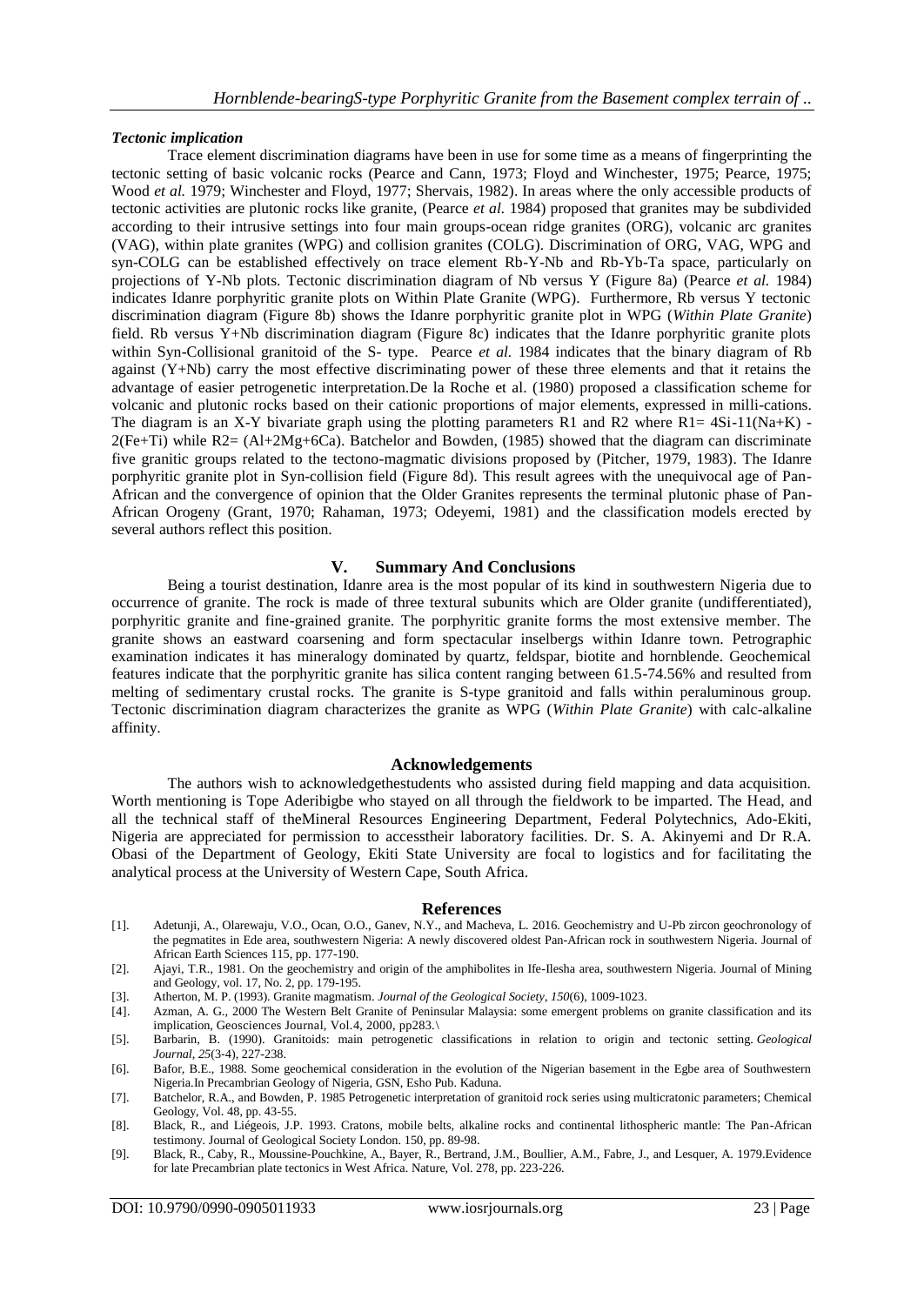#### *Tectonic implication*

Trace element discrimination diagrams have been in use for some time as a means of fingerprinting the tectonic setting of basic volcanic rocks (Pearce and Cann, 1973; Floyd and Winchester, 1975; Pearce, 1975; Wood *et al.* 1979; Winchester and Floyd, 1977; Shervais, 1982). In areas where the only accessible products of tectonic activities are plutonic rocks like granite, (Pearce *et al.* 1984) proposed that granites may be subdivided according to their intrusive settings into four main groups-ocean ridge granites (ORG), volcanic arc granites (VAG), within plate granites (WPG) and collision granites (COLG). Discrimination of ORG, VAG, WPG and syn-COLG can be established effectively on trace element Rb-Y-Nb and Rb-Yb-Ta space, particularly on projections of Y-Nb plots. Tectonic discrimination diagram of Nb versus Y (Figure 8a) (Pearce *et al.* 1984) indicates Idanre porphyritic granite plots on Within Plate Granite (WPG). Furthermore, Rb versus Y tectonic discrimination diagram (Figure 8b) shows the Idanre porphyritic granite plot in WPG (*Within Plate Granite*) field. Rb versus Y+Nb discrimination diagram (Figure 8c) indicates that the Idanre porphyritic granite plots within Syn-Collisional granitoid of the S- type. Pearce *et al.* 1984 indicates that the binary diagram of Rb against (Y+Nb) carry the most effective discriminating power of these three elements and that it retains the advantage of easier petrogenetic interpretation.De la Roche et al. (1980) proposed a classification scheme for volcanic and plutonic rocks based on their cationic proportions of major elements, expressed in milli-cations. The diagram is an X-Y bivariate graph using the plotting parameters R1 and R2 where R1=  $4Si-11(Na+K)$  -2(Fe+Ti) while R2= (Al+2Mg+6Ca). Batchelor and Bowden, (1985) showed that the diagram can discriminate five granitic groups related to the tectono-magmatic divisions proposed by (Pitcher, 1979, 1983). The Idanre porphyritic granite plot in Syn-collision field (Figure 8d). This result agrees with the unequivocal age of Pan-African and the convergence of opinion that the Older Granites represents the terminal plutonic phase of Pan-African Orogeny (Grant, 1970; Rahaman, 1973; Odeyemi, 1981) and the classification models erected by several authors reflect this position.

## **V. Summary And Conclusions**

Being a tourist destination, Idanre area is the most popular of its kind in southwestern Nigeria due to occurrence of granite. The rock is made of three textural subunits which are Older granite (undifferentiated), porphyritic granite and fine-grained granite. The porphyritic granite forms the most extensive member. The granite shows an eastward coarsening and form spectacular inselbergs within Idanre town. Petrographic examination indicates it has mineralogy dominated by quartz, feldspar, biotite and hornblende. Geochemical features indicate that the porphyritic granite has silica content ranging between 61.5-74.56% and resulted from melting of sedimentary crustal rocks. The granite is S-type granitoid and falls within peraluminous group. Tectonic discrimination diagram characterizes the granite as WPG (*Within Plate Granite*) with calc-alkaline affinity.

#### **Acknowledgements**

The authors wish to acknowledgethestudents who assisted during field mapping and data acquisition. Worth mentioning is Tope Aderibigbe who stayed on all through the fieldwork to be imparted. The Head, and all the technical staff of theMineral Resources Engineering Department, Federal Polytechnics, Ado-Ekiti, Nigeria are appreciated for permission to accesstheir laboratory facilities. Dr. S. A. Akinyemi and Dr R.A. Obasi of the Department of Geology, Ekiti State University are focal to logistics and for facilitating the analytical process at the University of Western Cape, South Africa.

#### **References**

- [1]. Adetunji, A., Olarewaju, V.O., Ocan, O.O., Ganev, N.Y., and Macheva, L. 2016. Geochemistry and U-Pb zircon geochronology of the pegmatites in Ede area, southwestern Nigeria: A newly discovered oldest Pan-African rock in southwestern Nigeria. Journal of African Earth Sciences 115, pp. 177-190.
- [2]. Ajayi, T.R., 1981. On the geochemistry and origin of the amphibolites in Ife-Ilesha area, southwestern Nigeria. Journal of Mining and Geology, vol. 17, No. 2, pp. 179-195.
- [3]. Atherton, M. P. (1993). Granite magmatism. *Journal of the Geological Society*, *150*(6), 1009-1023.
- [4]. Azman, A. G., 2000 The Western Belt Granite of Peninsular Malaysia: some emergent problems on granite classification and its implication, Geosciences Journal, Vol.4, 2000, pp283.\
- [5]. Barbarin, B. (1990). Granitoids: main petrogenetic classifications in relation to origin and tectonic setting. *Geological Journal*, *25*(3‐4), 227-238.
- [6]. Bafor, B.E., 1988. Some geochemical consideration in the evolution of the Nigerian basement in the Egbe area of Southwestern Nigeria.In Precambrian Geology of Nigeria, GSN, Esho Pub. Kaduna.
- [7]. Batchelor, R.A., and Bowden, P. 1985 Petrogenetic interpretation of granitoid rock series using multicratonic parameters; Chemical Geology, Vol. 48, pp. 43-55.
- [8]. Black, R., and Liégeois, J.P. 1993. Cratons, mobile belts, alkaline rocks and continental lithospheric mantle: The Pan-African testimony. Journal of Geological Society London. 150, pp. 89-98.
- [9]. Black, R., Caby, R., Moussine-Pouchkine, A., Bayer, R., Bertrand, J.M., Boullier, A.M., Fabre, J., and Lesquer, A. 1979.Evidence for late Precambrian plate tectonics in West Africa. Nature, Vol. 278, pp. 223-226.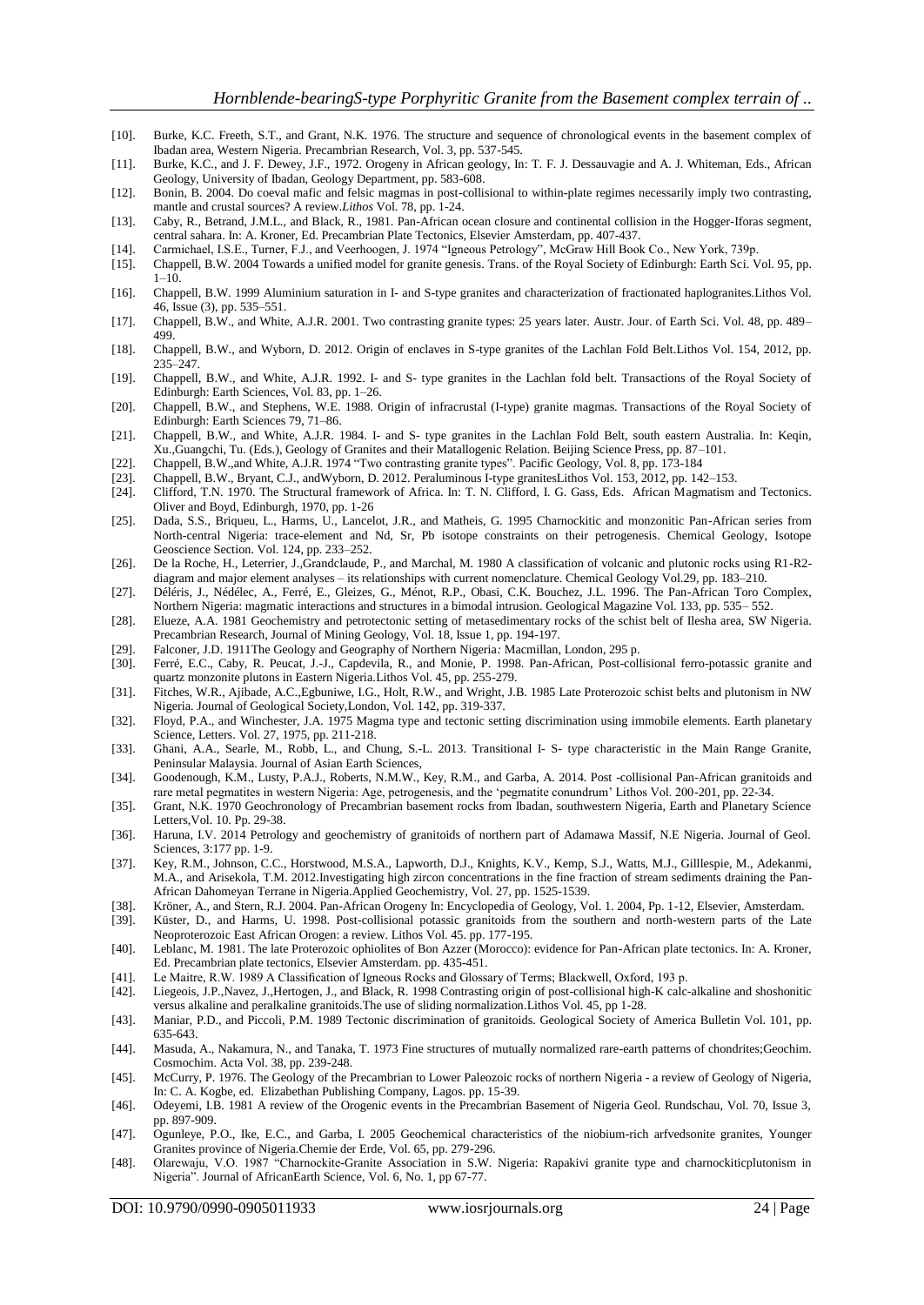- [10]. Burke, K.C. Freeth, S.T., and Grant, N.K. 1976. The structure and sequence of chronological events in the basement complex of Ibadan area, Western Nigeria. Precambrian Research, Vol. 3, pp. 537-545.
- [11]. Burke, K.C., and J. F. Dewey, J.F., 1972. Orogeny in African geology, In: T. F. J. Dessauvagie and A. J. Whiteman, Eds., African Geology, University of Ibadan, Geology Department, pp. 583-608.
- [12]. Bonin, B. 2004. Do coeval mafic and felsic magmas in post-collisional to within-plate regimes necessarily imply two contrasting, mantle and crustal sources? A review.*Lithos* Vol. 78, pp. 1-24.
- [13]. Caby, R., Betrand, J.M.L., and Black, R., 1981. Pan-African ocean closure and continental collision in the Hogger-Iforas segment, central sahara. In: A. Kroner, Ed. Precambrian Plate Tectonics, Elsevier Amsterdam, pp. 407-437.
- [14]. Carmichael, I.S.E., Turner, F.J., and Veerhoogen, J. 1974 "Igneous Petrology", McGraw Hill Book Co., New York, 739p.
- [15]. Chappell, B.W. 2004 Towards a unified model for granite genesis. Trans. of the Royal Society of Edinburgh: Earth Sci. Vol. 95, pp.  $1 - 10$ .
- [16]. Chappell, B.W. 1999 Aluminium saturation in I- and S-type granites and characterization of fractionated haplogranites.Lithos Vol. 46, Issue (3), pp. 535–551.
- [17]. Chappell, B.W., and White, A.J.R. 2001. Two contrasting granite types: 25 years later. Austr. Jour. of Earth Sci. Vol. 48, pp. 489– 499.
- [18]. Chappell, B.W., and Wyborn, D. 2012. Origin of enclaves in S-type granites of the Lachlan Fold Belt.Lithos Vol. 154, 2012, pp. 235–247.
- [19]. Chappell, B.W., and White, A.J.R. 1992. I- and S- type granites in the Lachlan fold belt. Transactions of the Royal Society of Edinburgh: Earth Sciences, Vol. 83, pp. 1–26.
- [20]. Chappell, B.W., and Stephens, W.E. 1988. Origin of infracrustal (I-type) granite magmas. Transactions of the Royal Society of Edinburgh: Earth Sciences 79, 71–86.
- [21]. Chappell, B.W., and White, A.J.R. 1984. I- and S- type granites in the Lachlan Fold Belt, south eastern Australia. In: Keqin, Xu.,Guangchi, Tu. (Eds.), Geology of Granites and their Matallogenic Relation. Beijing Science Press, pp. 87–101.
- [22]. Chappell, B.W.,and White, A.J.R. 1974 "Two contrasting granite types". Pacific Geology, Vol. 8, pp. 173-184
- [23]. Chappell, B.W., Bryant, C.J., andWyborn, D. 2012. Peraluminous I-type granitesLithos Vol. 153, 2012, pp. 142–153.
- [24]. Clifford, T.N. 1970. The Structural framework of Africa. In: T. N. Clifford, I. G. Gass, Eds. African Magmatism and Tectonics. Oliver and Boyd, Edinburgh, 1970, pp. 1-26
- [25]. Dada, S.S., Briqueu, L., Harms, U., Lancelot, J.R., and Matheis, G. 1995 Charnockitic and monzonitic Pan-African series from North-central Nigeria: trace-element and Nd, Sr, Pb isotope constraints on their petrogenesis. Chemical Geology, Isotope Geoscience Section. Vol. 124, pp. 233–252.
- [26]. De la Roche, H., Leterrier, J.,Grandclaude, P., and Marchal, M. 1980 A classification of volcanic and plutonic rocks using R1-R2 diagram and major element analyses – its relationships with current nomenclature. Chemical Geology Vol.29, pp. 183–210.
- [27]. Déléris, J., Nédélec, A., Ferré, E., Gleizes, G., Ménot, R.P., Obasi, C.K. Bouchez, J.L. 1996. The Pan-African Toro Complex, Northern Nigeria: magmatic interactions and structures in a bimodal intrusion. Geological Magazine Vol. 133, pp. 535– 552.
- [28]. Elueze, A.A. 1981 Geochemistry and petrotectonic setting of metasedimentary rocks of the schist belt of Ilesha area, SW Nigeria. Precambrian Research, Journal of Mining Geology*,* Vol. 18, Issue 1, pp. 194-197.
- [29]. Falconer, J.D. 1911The Geology and Geography of Northern Nigeria*:* Macmillan, London, 295 p.
- [30]. Ferré, E.C., Caby, R. Peucat, J.-J., Capdevila, R., and Monie, P. 1998. Pan-African, Post-collisional ferro-potassic granite and quartz monzonite plutons in Eastern Nigeria*.*Lithos Vol. 45, pp. 255-279.
- [31]. Fitches, W.R., Ajibade, A.C.,Egbuniwe, I.G., Holt, R.W., and Wright, J.B. 1985 Late Proterozoic schist belts and plutonism in NW Nigeria. Journal of Geological Society,London, Vol. 142, pp. 319-337.
- [32]. Floyd, P.A., and Winchester, J.A. 1975 Magma type and tectonic setting discrimination using immobile elements. Earth planetary Science, Letters. Vol. 27, 1975, pp. 211-218.
- [33]. Ghani, A.A., Searle, M., Robb, L., and Chung, S.-L. 2013. Transitional I- S- type characteristic in the Main Range Granite, Peninsular Malaysia. Journal of Asian Earth Sciences,
- [34]. Goodenough, K.M., Lusty, P.A.J., Roberts, N.M.W., Key, R.M., and Garba, A. 2014. Post -collisional Pan-African granitoids and rare metal pegmatites in western Nigeria: Age, petrogenesis, and the "pegmatite conundrum" Lithos Vol. 200-201, pp. 22-34.
- [35]. Grant, N.K. 1970 Geochronology of Precambrian basement rocks from Ibadan, southwestern Nigeria, Earth and Planetary Science Letters,Vol. 10. Pp. 29-38.
- [36]. Haruna, I.V. 2014 Petrology and geochemistry of granitoids of northern part of Adamawa Massif, N.E Nigeria. Journal of Geol. Sciences, 3:177 pp. 1-9.
- [37]. Key, R.M., Johnson, C.C., Horstwood, M.S.A., Lapworth, D.J., Knights, K.V., Kemp, S.J., Watts, M.J., Gilllespie, M., Adekanmi, M.A., and Arisekola, T.M. 2012.Investigating high zircon concentrations in the fine fraction of stream sediments draining the Pan-African Dahomeyan Terrane in Nigeria.Applied Geochemistry*,* Vol. 27, pp. 1525-1539.
- [38]. Kröner, A., and Stern, R.J. 2004. Pan-African Orogeny In: Encyclopedia of Geology, Vol. 1. 2004, Pp. 1-12, Elsevier, Amsterdam.
- [39]. Küster, D., and Harms, U. 1998. Post-collisional potassic granitoids from the southern and north-western parts of the Late Neoproterozoic East African Orogen: a review. Lithos Vol. 45. pp. 177-195.
- [40]. Leblanc, M. 1981. The late Proterozoic ophiolites of Bon Azzer (Morocco): evidence for Pan-African plate tectonics. In: A. Kroner, Ed. Precambrian plate tectonics, Elsevier Amsterdam. pp. 435-451.
- [41]. Le Maitre, R.W. 1989 A Classification of Igneous Rocks and Glossary of Terms; Blackwell, Oxford, 193 p.
- [42]. Liegeois, J.P.,Navez, J.,Hertogen, J., and Black, R. 1998 Contrasting origin of post-collisional high-K calc-alkaline and shoshonitic versus alkaline and peralkaline granitoids.The use of sliding normalization*.*Lithos Vol. 45, pp 1-28.
- [43]. Maniar, P.D., and Piccoli, P.M. 1989 Tectonic discrimination of granitoids. Geological Society of America Bulletin Vol. 101, pp. 635-643.
- [44]. Masuda, A., Nakamura, N., and Tanaka, T. 1973 Fine structures of mutually normalized rare-earth patterns of chondrites;Geochim. Cosmochim. Acta Vol. 38, pp. 239-248.
- [45]. McCurry, P. 1976. The Geology of the Precambrian to Lower Paleozoic rocks of northern Nigeria a review of Geology of Nigeria, In: C. A. Kogbe, ed. Elizabethan Publishing Company, Lagos. pp. 15-39.
- [46]. Odeyemi, I.B. 1981 A review of the Orogenic events in the Precambrian Basement of Nigeria Geol. Rundschau, Vol. 70, Issue 3, pp. 897-909.
- [47]. Ogunleye, P.O., Ike, E.C., and Garba, I. 2005 Geochemical characteristics of the niobium-rich arfvedsonite granites, Younger Granites province of Nigeria.Chemie der Erde, Vol. 65, pp. 279-296.
- [48]. Olarewaju, V.O. 1987 "Charnockite-Granite Association in S.W. Nigeria: Rapakivi granite type and charnockiticplutonism in Nigeria". Journal of AfricanEarth Science, Vol. 6, No. 1, pp 67-77.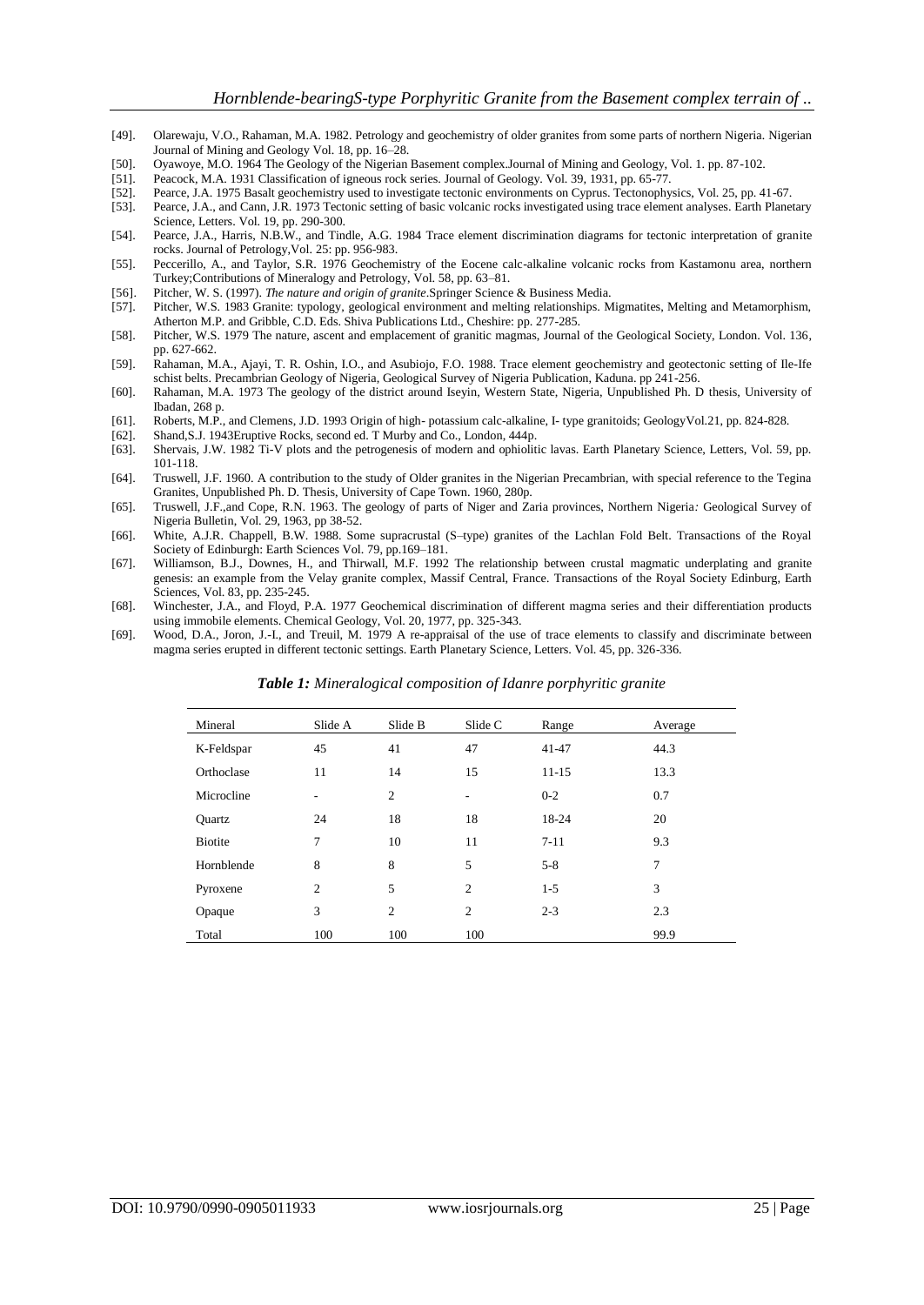- [49]. Olarewaju, V.O., Rahaman, M.A. 1982. Petrology and geochemistry of older granites from some parts of northern Nigeria*.* Nigerian Journal of Mining and Geology Vol. 18, pp. 16–28.
- [50]. Oyawoye, M.O. 1964 The Geology of the Nigerian Basement complex.Journal of Mining and Geology, Vol. 1. pp. 87-102. [51]. Peacock, M.A. 1931 Classification of igneous rock series. Journal of Geology. Vol. 39, 1931, pp
- [51]. Peacock, M.A. 1931 Classification of igneous rock series. Journal of Geology. Vol. 39, 1931, pp. 65-77.
- [52]. Pearce, J.A. 1975 Basalt geochemistry used to investigate tectonic environments on Cyprus. Tectonophysics, Vol. 25, pp. 41-67.
- [53]. Pearce, J.A., and Cann, J.R. 1973 Tectonic setting of basic volcanic rocks investigated using trace element analyses. Earth Planetary Science, Letters. Vol. 19, pp. 290-300.
- [54]. Pearce, J.A., Harris, N.B.W., and Tindle, A.G. 1984 Trace element discrimination diagrams for tectonic interpretation of granite rocks. Journal of Petrology,Vol. 25: pp. 956-983.
- [55]. Peccerillo, A., and Taylor, S.R. 1976 Geochemistry of the Eocene calc-alkaline volcanic rocks from Kastamonu area, northern Turkey;Contributions of Mineralogy and Petrology, Vol. 58, pp. 63–81.
- [56]. Pitcher, W. S. (1997). *The nature and origin of granite*.Springer Science & Business Media.
- [57]. Pitcher, W.S. 1983 Granite: typology, geological environment and melting relationships. Migmatites, Melting and Metamorphism, Atherton M.P. and Gribble, C.D. Eds. Shiva Publications Ltd., Cheshire: pp. 277-285.
- [58]. Pitcher, W.S. 1979 The nature, ascent and emplacement of granitic magmas, Journal of the Geological Society, London. Vol. 136, pp. 627-662.
- [59]. Rahaman, M.A., Ajayi, T. R. Oshin, I.O., and Asubiojo, F.O. 1988. Trace element geochemistry and geotectonic setting of Ile-Ife schist belts. Precambrian Geology of Nigeria, Geological Survey of Nigeria Publication, Kaduna. pp 241-256.
- [60]. Rahaman, M.A. 1973 The geology of the district around Iseyin, Western State, Nigeria, Unpublished Ph. D thesis, University of Ibadan, 268 p.
- [61]. Roberts, M.P., and Clemens, J.D. 1993 Origin of high- potassium calc-alkaline, I- type granitoids; GeologyVol.21, pp. 824-828.
- [62]. Shand,S.J. 1943Eruptive Rocks, second ed. T Murby and Co., London, 444p.
- [63]. Shervais, J.W. 1982 Ti-V plots and the petrogenesis of modern and ophiolitic lavas. Earth Planetary Science, Letters, Vol. 59, pp. 101-118.
- [64]. Truswell, J.F. 1960. A contribution to the study of Older granites in the Nigerian Precambrian, with special reference to the Tegina Granites, Unpublished Ph. D. Thesis, University of Cape Town. 1960, 280p.
- [65]. Truswell, J.F.,and Cope, R.N. 1963. The geology of parts of Niger and Zaria provinces, Northern Nigeria*:* Geological Survey of Nigeria Bulletin, Vol. 29, 1963, pp 38-52.
- [66]. White, A.J.R. Chappell, B.W. 1988. Some supracrustal (S–type) granites of the Lachlan Fold Belt. Transactions of the Royal Society of Edinburgh: Earth Sciences Vol. 79, pp.169–181.
- [67]. Williamson, B.J., Downes, H., and Thirwall, M.F. 1992 The relationship between crustal magmatic underplating and granite genesis: an example from the Velay granite complex, Massif Central, France*.* Transactions of the Royal Society Edinburg, Earth Sciences, Vol. 83, pp. 235-245.
- [68]. Winchester, J.A., and Floyd, P.A. 1977 Geochemical discrimination of different magma series and their differentiation products using immobile elements. Chemical Geology, Vol. 20, 1977, pp. 325-343.
- [69]. Wood, D.A., Joron, J.-I., and Treuil, M. 1979 A re-appraisal of the use of trace elements to classify and discriminate between magma series erupted in different tectonic settings. Earth Planetary Science, Letters. Vol. 45, pp. 326-336.

| Mineral        | Slide A | Slide B | Slide C        | Range     | Average |
|----------------|---------|---------|----------------|-----------|---------|
| K-Feldspar     | 45      | 41      | 47             | 41-47     | 44.3    |
| Orthoclase     | 11      | 14      | 15             | $11 - 15$ | 13.3    |
| Microcline     | ۰       | 2       | ۰              | $0 - 2$   | 0.7     |
| <b>Ouartz</b>  | 24      | 18      | 18             | 18-24     | 20      |
| <b>Biotite</b> | 7       | 10      | 11             | $7 - 11$  | 9.3     |
| Hornblende     | 8       | 8       | 5              | $5 - 8$   | 7       |
| Pyroxene       | 2       | 5       | 2              | $1 - 5$   | 3       |
| Opaque         | 3       | 2       | $\overline{2}$ | $2 - 3$   | 2.3     |
| Total          | 100     | 100     | 100            |           | 99.9    |

#### *Table 1: Mineralogical composition of Idanre porphyritic granite*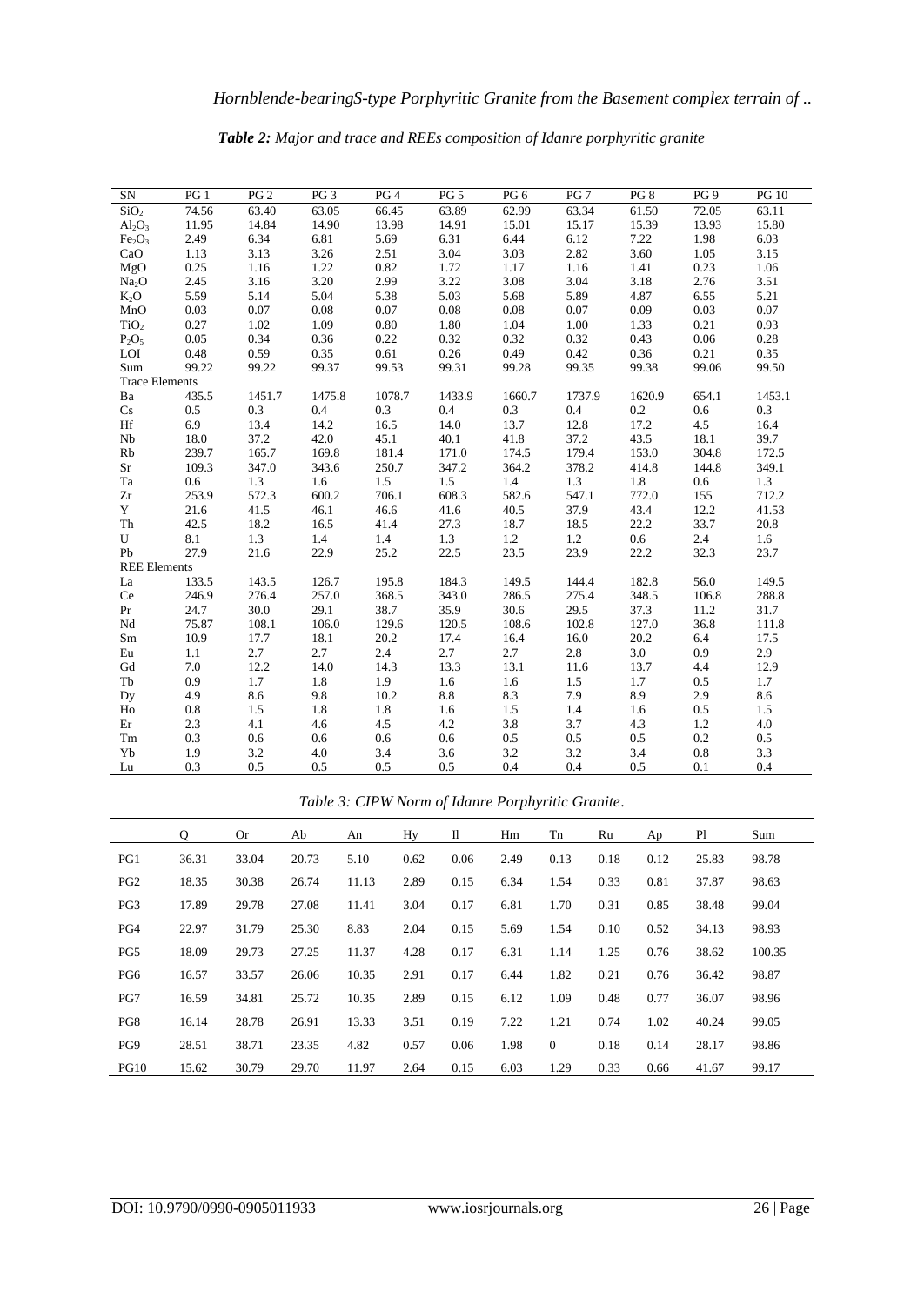| SN                             | PG <sub>1</sub> | PG <sub>2</sub> | PG <sub>3</sub> | PG <sub>4</sub> | PG <sub>5</sub> | PG <sub>6</sub> | PG <sub>7</sub>  | PG8     | PG <sub>9</sub> | <b>PG 10</b>   |
|--------------------------------|-----------------|-----------------|-----------------|-----------------|-----------------|-----------------|------------------|---------|-----------------|----------------|
|                                |                 |                 |                 |                 |                 |                 |                  |         |                 |                |
| SiO <sub>2</sub>               | 74.56           | 63.40           | 63.05           | 66.45           | 63.89           | 62.99           | 63.34            | 61.50   | 72.05           | 63.11          |
| $Al_2O_3$                      | 11.95           | 14.84           | 14.90           | 13.98           | 14.91           | 15.01           | 15.17            | 15.39   | 13.93           | 15.80          |
| Fe <sub>2</sub> O <sub>3</sub> | 2.49            | 6.34            | 6.81            | 5.69            | 6.31            | 6.44            | 6.12             | 7.22    | 1.98            | 6.03           |
| CaO                            | 1.13            | 3.13            | 3.26            | 2.51            | 3.04            | 3.03            | 2.82             | 3.60    | 1.05            | 3.15           |
| MgO                            | 0.25            | 1.16            | 1.22            | 0.82            | 1.72            | 1.17            | 1.16             | 1.41    | 0.23            | 1.06           |
| Na <sub>2</sub> O              | 2.45            | 3.16            | 3.20            | 2.99            | 3.22            | 3.08            | 3.04             | 3.18    | 2.76            | 3.51           |
| $K_2O$                         | 5.59            | 5.14            | 5.04            | 5.38            | 5.03            | 5.68            | 5.89             | 4.87    | 6.55            | 5.21           |
| MnO                            | 0.03            | $0.07\,$        | 0.08            | $0.07\,$        | 0.08            | $0.08\,$        | $0.07\,$         | 0.09    | 0.03            | 0.07           |
| TiO <sub>2</sub>               | 0.27            | 1.02            | 1.09            | 0.80            | 1.80            | 1.04            | 1.00             | 1.33    | 0.21            | 0.93           |
| $P_2O_5$                       | 0.05            | 0.34            | 0.36            | 0.22            | 0.32            | 0.32            | 0.32             | 0.43    | 0.06            | 0.28           |
| LOI                            | 0.48            | 0.59            | 0.35            | 0.61            | 0.26            | 0.49            | 0.42             | 0.36    | 0.21            | 0.35           |
| Sum                            | 99.22           | 99.22           | 99.37           | 99.53           | 99.31           | 99.28           | 99.35            | 99.38   | 99.06           | 99.50          |
| <b>Trace Elements</b>          |                 |                 |                 |                 |                 |                 |                  |         |                 |                |
| Ba                             | 435.5           | 1451.7          | 1475.8          | 1078.7          | 1433.9          | 1660.7          | 1737.9           | 1620.9  | 654.1           | 1453.1         |
| Cs                             | 0.5             | 0.3             | 0.4             | 0.3             | 0.4             | 0.3             | 0.4              | 0.2     | 0.6             | 0.3            |
| Hf                             | 6.9             | 13.4            | 14.2            | 16.5            | 14.0            | 13.7            | 12.8             | 17.2    | 4.5             | 16.4           |
| Nb                             | 18.0            | 37.2            | 42.0            | 45.1            | 40.1            | 41.8            | 37.2             | 43.5    | 18.1            | 39.7           |
| Rb                             | 239.7           | 165.7           | 169.8           | 181.4           | 171.0           | 174.5           | 179.4            | 153.0   | 304.8           | 172.5          |
| Sr                             | 109.3           | 347.0           | 343.6           | 250.7           | 347.2           | 364.2           | 378.2            | 414.8   | 144.8           | 349.1          |
| Ta                             | 0.6             | 1.3             | 1.6             | 1.5             | 1.5             | 1.4             | 1.3              | 1.8     | 0.6             | 1.3            |
| Zr                             | 253.9           | 572.3           | 600.2           | 706.1           | 608.3           | 582.6           | 547.1            | 772.0   | 155             | 712.2          |
| Y                              | 21.6            | 41.5            | 46.1            | 46.6            | 41.6            | 40.5            | 37.9             | 43.4    | 12.2            | 41.53          |
| Th                             | 42.5            | 18.2            | 16.5            | 41.4            | 27.3            | 18.7            | 18.5             | 22.2    | 33.7            | 20.8           |
| U                              | 8.1             | 1.3             | 1.4             | 1.4             | 1.3             | 1.2             | $1.2\phantom{0}$ | $0.6\,$ | $2.4\,$         | 1.6            |
| Pb                             | 27.9            | 21.6            | 22.9            | 25.2            | 22.5            | 23.5            | 23.9             | 22.2    | 32.3            | 23.7           |
| <b>REE Elements</b>            |                 |                 |                 |                 |                 |                 |                  |         |                 |                |
|                                |                 |                 |                 |                 |                 |                 |                  |         |                 |                |
| La                             | 133.5<br>246.9  | 143.5<br>276.4  | 126.7<br>257.0  | 195.8           | 184.3<br>343.0  | 149.5<br>286.5  | 144.4<br>275.4   | 182.8   | 56.0            | 149.5<br>288.8 |
| Ce                             |                 |                 |                 | 368.5           |                 |                 |                  | 348.5   | 106.8           |                |
| Pr                             | 24.7            | 30.0            | 29.1            | 38.7            | 35.9            | 30.6            | 29.5             | 37.3    | 11.2            | 31.7           |
| Nd                             | 75.87           | 108.1           | 106.0           | 129.6           | 120.5           | 108.6           | 102.8            | 127.0   | 36.8            | 111.8          |
| Sm                             | 10.9            | 17.7            | 18.1            | 20.2            | 17.4            | 16.4            | 16.0             | 20.2    | 6.4             | 17.5           |
| Eu                             | 1.1             | 2.7             | 2.7             | 2.4             | 2.7             | 2.7             | 2.8              | 3.0     | 0.9             | 2.9            |
| Gd                             | 7.0             | 12.2            | 14.0            | 14.3            | 13.3            | 13.1            | 11.6             | 13.7    | 4.4             | 12.9           |
| Tb                             | 0.9             | 1.7             | 1.8             | 1.9             | 1.6             | 1.6             | 1.5              | 1.7     | 0.5             | 1.7            |
| Dy                             | 4.9             | 8.6             | 9.8             | 10.2            | 8.8             | 8.3             | 7.9              | 8.9     | 2.9             | 8.6            |
| Ho                             | 0.8             | 1.5             | 1.8             | 1.8             | 1.6             | 1.5             | 1.4              | 1.6     | 0.5             | 1.5            |
| Er                             | 2.3             | 4.1             | 4.6             | 4.5             | 4.2             | 3.8             | 3.7              | 4.3     | 1.2             | 4.0            |
| Tm                             | 0.3             | 0.6             | 0.6             | 0.6             | 0.6             | 0.5             | 0.5              | 0.5     | 0.2             | $0.5\,$        |
| Yb                             | 1.9             | 3.2             | 4.0             | 3.4             | 3.6             | 3.2             | 3.2              | 3.4     | 0.8             | 3.3            |
| Lu                             | 0.3             | 0.5             | 0.5             | 0.5             | 0.5             | 0.4             | 0.4              | 0.5     | 0.1             | 0.4            |

# *Table 2: Major and trace and REEs composition of Idanre porphyritic granite*

*Table 3: CIPW Norm of Idanre Porphyritic Granite*.

|                 | 0     | 0r    | Ab    | An    | Hy   | $\mathbf{I}$ | Hm   | Tn       | Ru   | Ap   | P1    | Sum    |
|-----------------|-------|-------|-------|-------|------|--------------|------|----------|------|------|-------|--------|
| PG1             | 36.31 | 33.04 | 20.73 | 5.10  | 0.62 | 0.06         | 2.49 | 0.13     | 0.18 | 0.12 | 25.83 | 98.78  |
| PG <sub>2</sub> | 18.35 | 30.38 | 26.74 | 11.13 | 2.89 | 0.15         | 6.34 | 1.54     | 0.33 | 0.81 | 37.87 | 98.63  |
| PG3             | 17.89 | 29.78 | 27.08 | 11.41 | 3.04 | 0.17         | 6.81 | 1.70     | 0.31 | 0.85 | 38.48 | 99.04  |
| PG4             | 22.97 | 31.79 | 25.30 | 8.83  | 2.04 | 0.15         | 5.69 | 1.54     | 0.10 | 0.52 | 34.13 | 98.93  |
| PG5             | 18.09 | 29.73 | 27.25 | 11.37 | 4.28 | 0.17         | 6.31 | 1.14     | 1.25 | 0.76 | 38.62 | 100.35 |
| PG <sub>6</sub> | 16.57 | 33.57 | 26.06 | 10.35 | 2.91 | 0.17         | 6.44 | 1.82     | 0.21 | 0.76 | 36.42 | 98.87  |
| PG7             | 16.59 | 34.81 | 25.72 | 10.35 | 2.89 | 0.15         | 6.12 | 1.09     | 0.48 | 0.77 | 36.07 | 98.96  |
| PG8             | 16.14 | 28.78 | 26.91 | 13.33 | 3.51 | 0.19         | 7.22 | 1.21     | 0.74 | 1.02 | 40.24 | 99.05  |
| PG9             | 28.51 | 38.71 | 23.35 | 4.82  | 0.57 | 0.06         | 1.98 | $\theta$ | 0.18 | 0.14 | 28.17 | 98.86  |
| <b>PG10</b>     | 15.62 | 30.79 | 29.70 | 11.97 | 2.64 | 0.15         | 6.03 | 1.29     | 0.33 | 0.66 | 41.67 | 99.17  |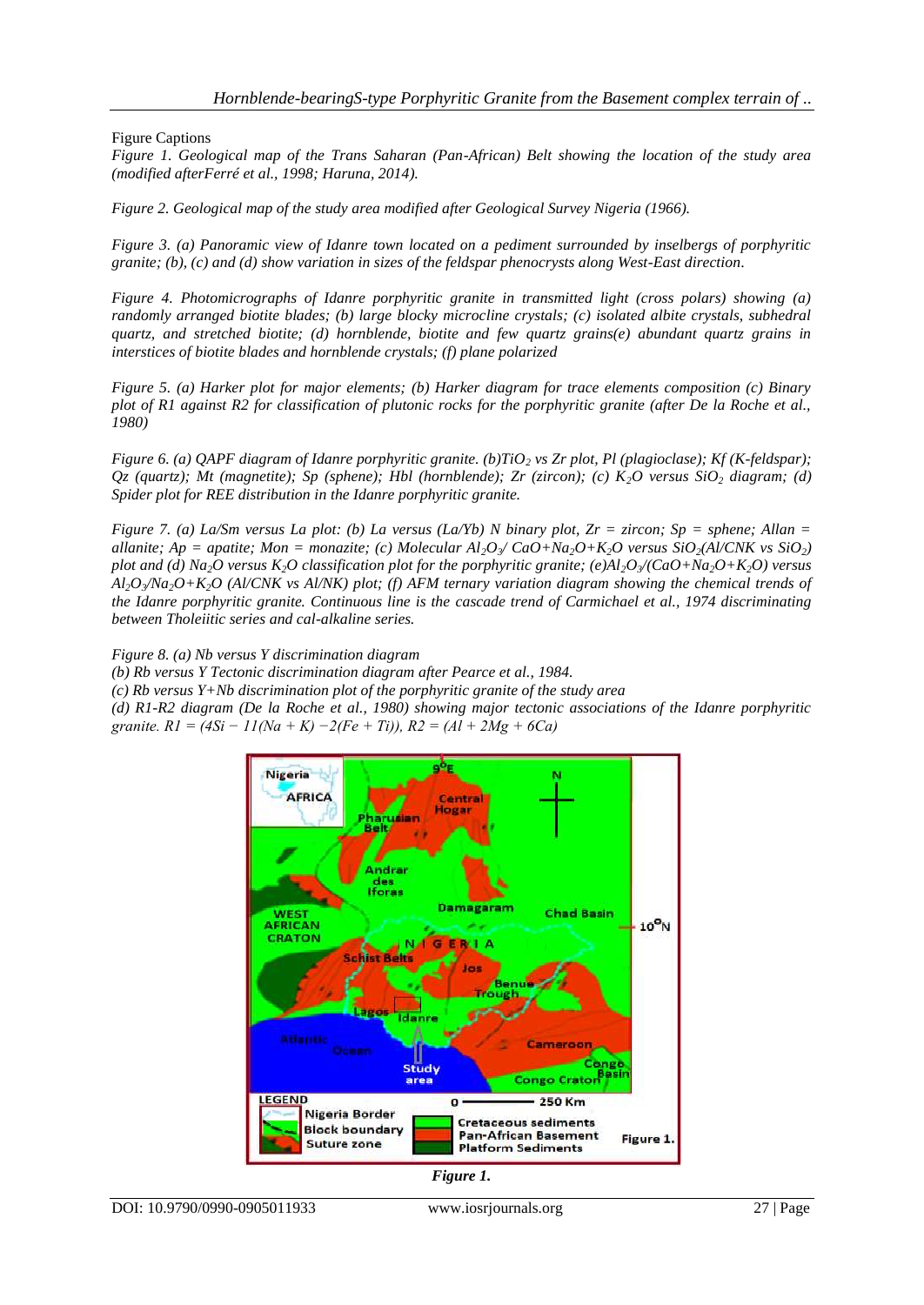Figure Captions

*Figure 1. Geological map of the Trans Saharan (Pan-African) Belt showing the location of the study area (modified afterFerré et al., 1998; Haruna, 2014).*

*Figure 2. Geological map of the study area modified after Geological Survey Nigeria (1966).*

*Figure 3. (a) Panoramic view of Idanre town located on a pediment surrounded by inselbergs of porphyritic granite; (b), (c) and (d) show variation in sizes of the feldspar phenocrysts along West-East direction*.

*Figure 4. Photomicrographs of Idanre porphyritic granite in transmitted light (cross polars) showing (a) randomly arranged biotite blades; (b) large blocky microcline crystals; (c) isolated albite crystals, subhedral quartz, and stretched biotite; (d) hornblende, biotite and few quartz grains(e) abundant quartz grains in interstices of biotite blades and hornblende crystals; (f) plane polarized* 

*Figure 5. (a) Harker plot for major elements; (b) Harker diagram for trace elements composition (c) Binary plot of R1 against R2 for classification of plutonic rocks for the porphyritic granite (after De la Roche et al., 1980)*

*Figure 6. (a) QAPF diagram of Idanre porphyritic granite. (b)TiO<sub>2</sub> <i>vs Zr plot, Pl (plagioclase); Kf (K-feldspar); Qz (quartz); Mt (magnetite); Sp (sphene); Hbl (hornblende); Zr (zircon); (c) K2O versus SiO<sup>2</sup> diagram; (d) Spider plot for REE distribution in the Idanre porphyritic granite.*

*Figure 7. (a) La/Sm versus La plot: (b) La versus (La/Yb) N binary plot, Zr = zircon; Sp = sphene; Allan = allanite; Ap = apatite; Mon = monazite; (c) Molecular*  $A_1O\sqrt{CaO+Na_2O+K_2O}$  *versus*  $SiO_2(A/CNK \text{ vs } SiO_2)$ *plot and (d)*  $Na<sub>2</sub>O$  versus  $K<sub>2</sub>O$  classification plot for the porphyritic granite; (e)Al<sub>2</sub>O<sub>*<sup>3</sub></sub>*(CaO+Na<sub>2</sub>O+K<sub>2</sub>O) versus</sub></sup>  $A_1$ <sup>2</sup> $O_1$ <sup> $\mathcal{N}$ </sup> $O_2$   $O_3$   $O_4$   $O_4$   $O_5$   $O_7$   $N$   $N$  *km*  $O_7$  *(f) AFM ternary variation diagram showing the chemical trends of the Idanre porphyritic granite. Continuous line is the cascade trend of Carmichael et al., 1974 discriminating between Tholeiitic series and cal-alkaline series.*

*Figure 8. (a) Nb versus Y discrimination diagram*

*(b) Rb versus Y Tectonic discrimination diagram after Pearce et al., 1984.*

*(c) Rb versus Y+Nb discrimination plot of the porphyritic granite of the study area*

*(d) R1-R2 diagram (De la Roche et al., 1980) showing major tectonic associations of the Idanre porphyritic granite. R1 = (4Si − 11(Na + K) −2(Fe + Ti)), R2 = (Al + 2Mg + 6Ca)*



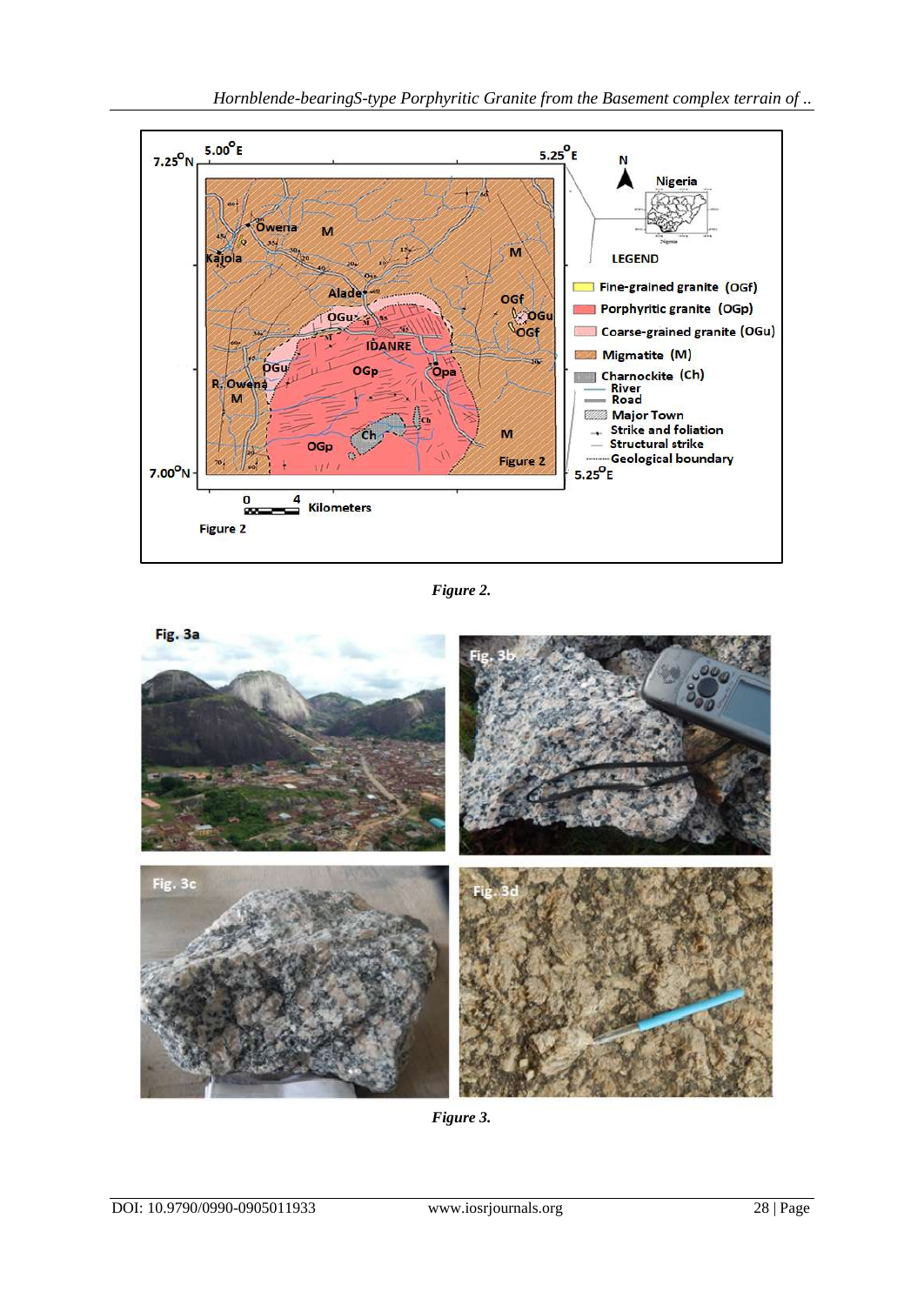

*Figure 2.*



*Figure 3.*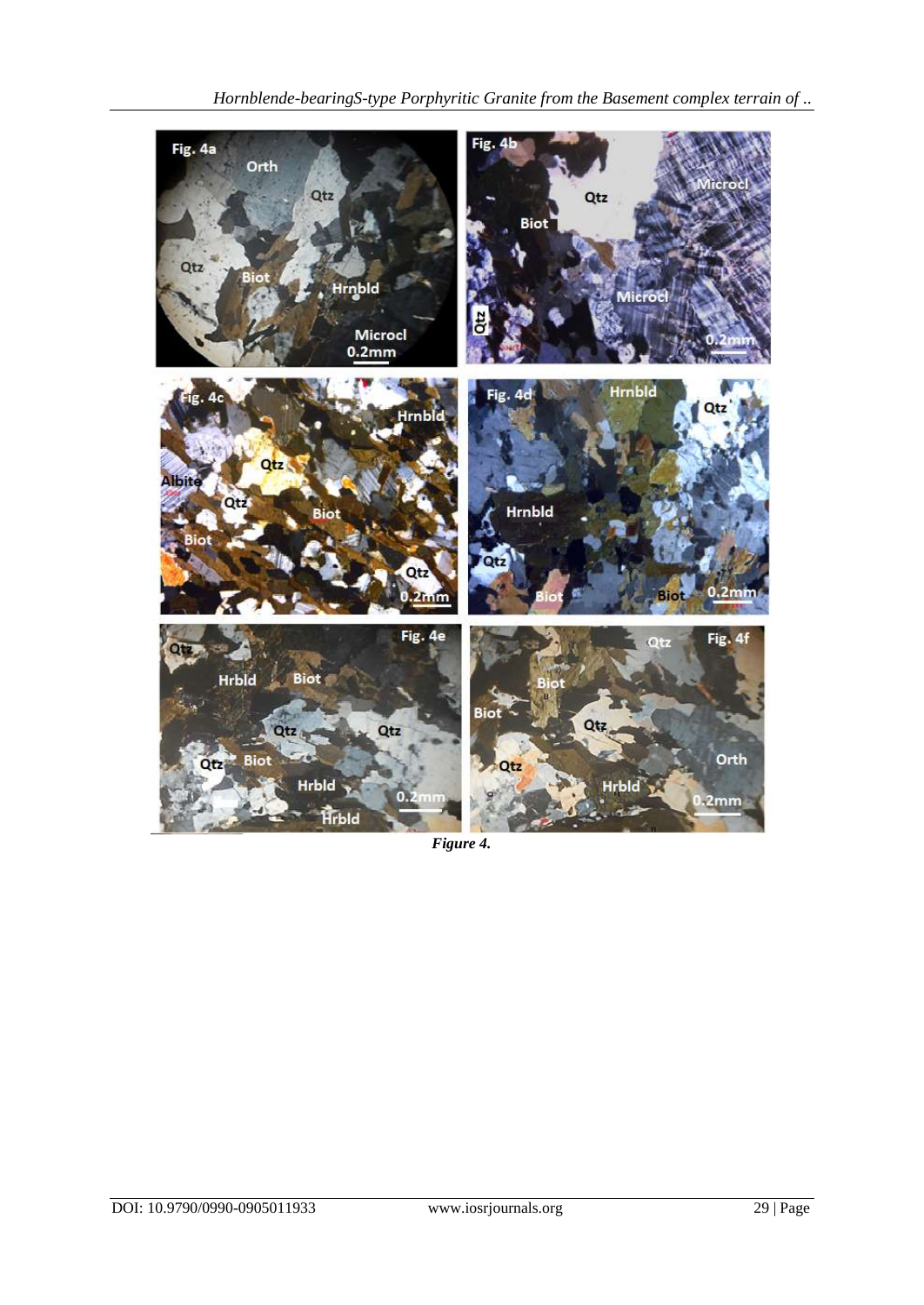*Hornblende-bearingS-type Porphyritic Granite from the Basement complex terrain of ..*



*Figure 4.*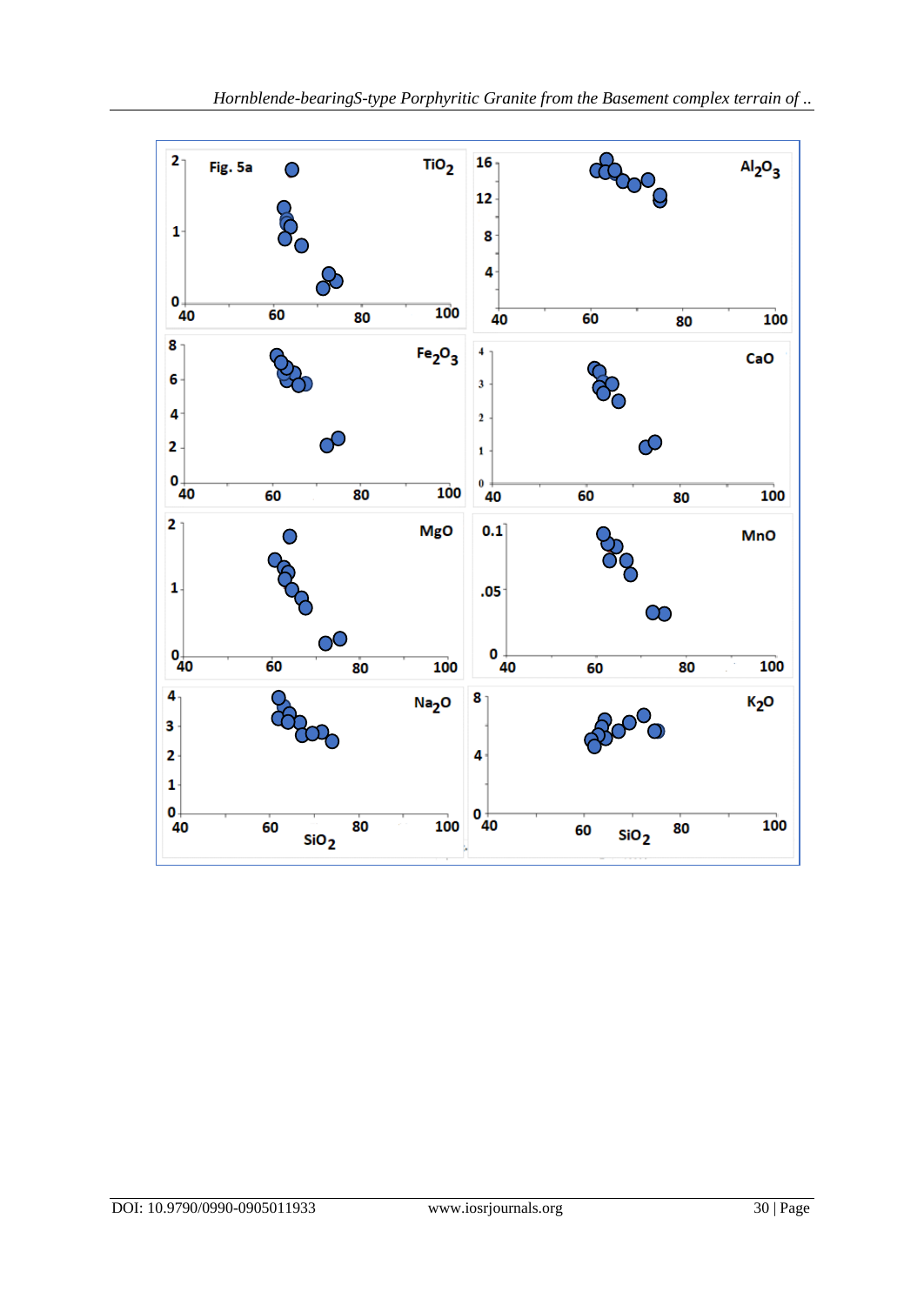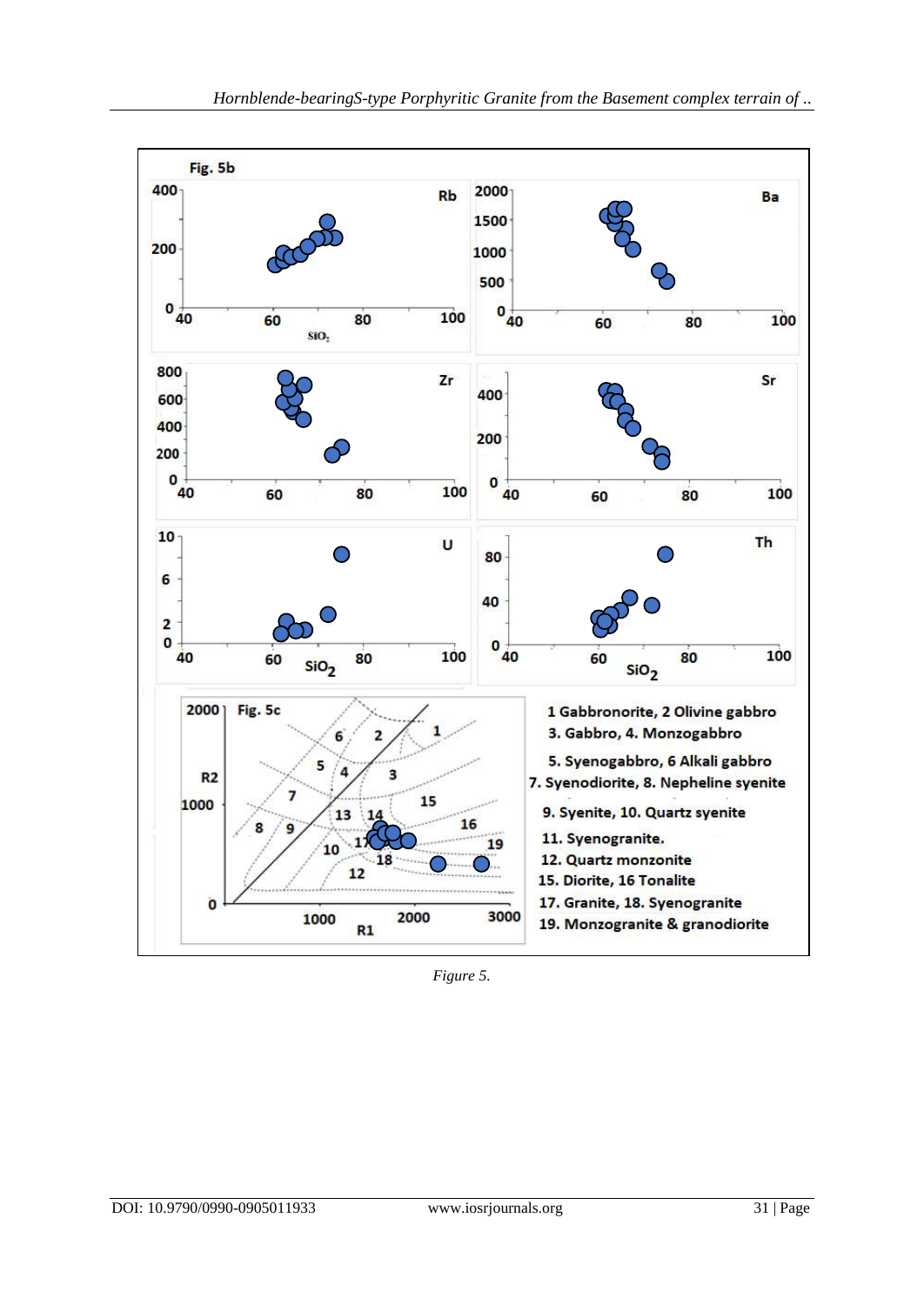

*Figure 5.*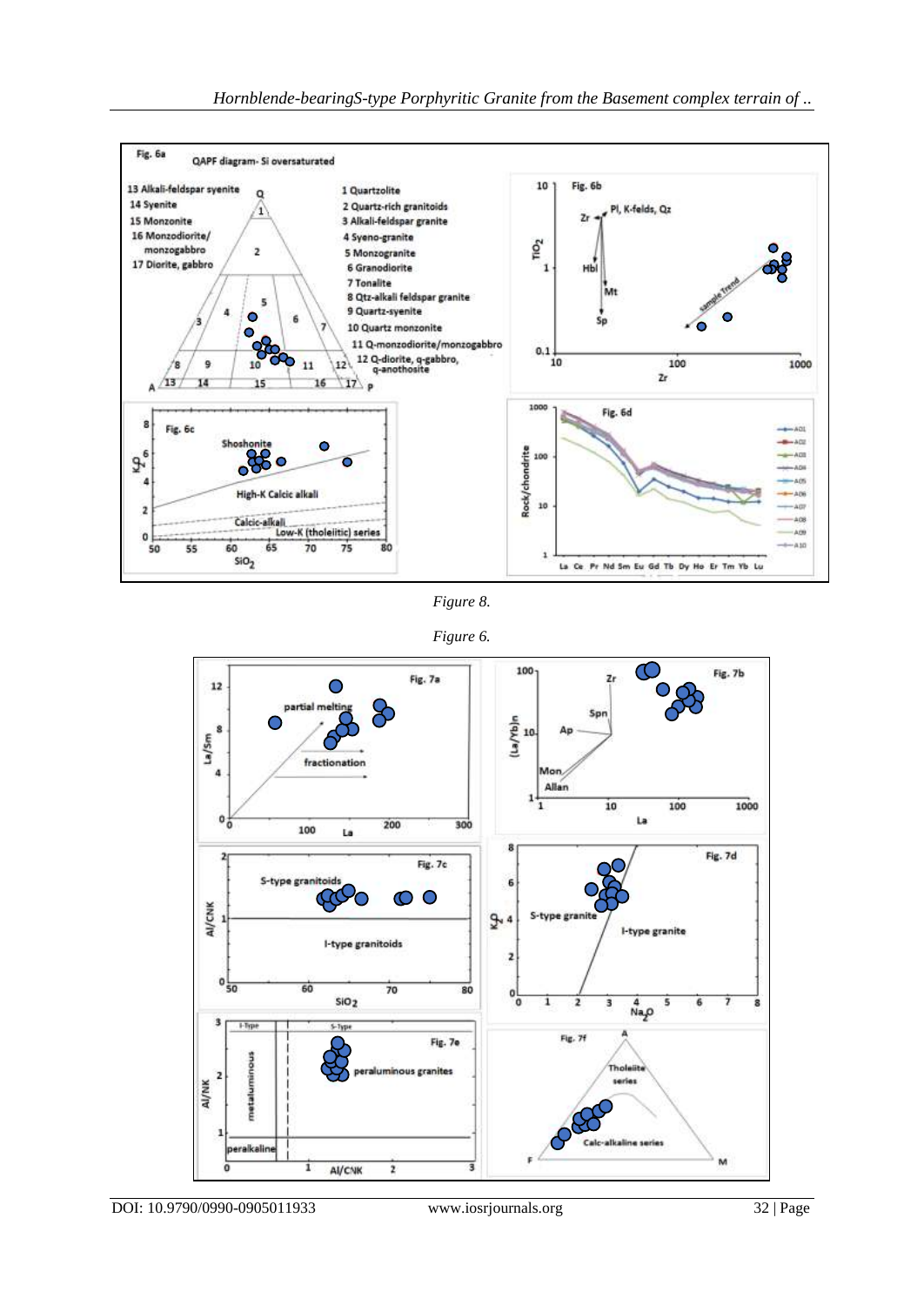

*Figure 8.*



*Figure 6.*